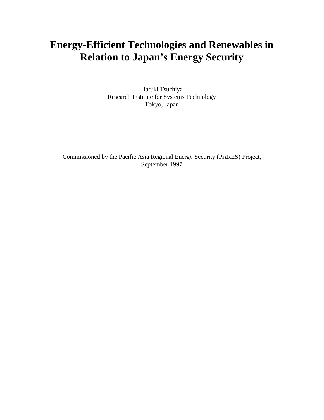# **Energy-Efficient Technologies and Renewables in Relation to Japan's Energy Security**

Haruki Tsuchiya Research Institute for Systems Technology Tokyo, Japan

Commissioned by the Pacific Asia Regional Energy Security (PARES) Project, September 1997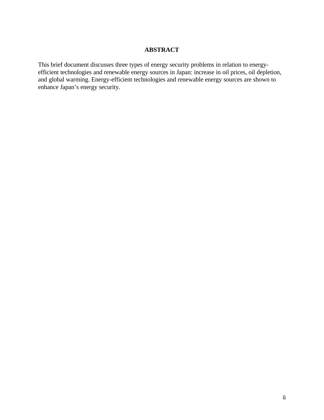#### **ABSTRACT**

This brief document discusses three types of energy security problems in relation to energyefficient technologies and renewable energy sources in Japan: increase in oil prices, oil depletion, and global warming. Energy-efficient technologies and renewable energy sources are shown to enhance Japan's energy security.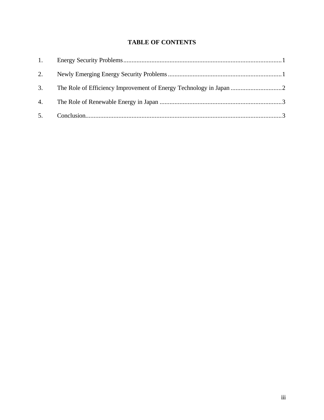### **TABLE OF CONTENTS**

| 2. |  |
|----|--|
| 3. |  |
|    |  |
| 5. |  |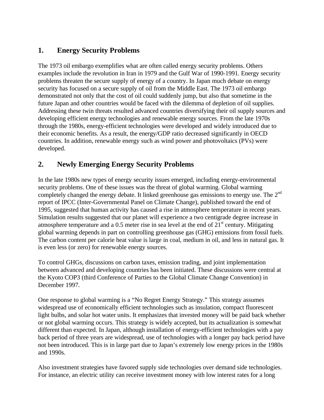# **1. Energy Security Problems**

The 1973 oil embargo exemplifies what are often called energy security problems. Others examples include the revolution in Iran in 1979 and the Gulf War of 1990-1991. Energy security problems threaten the secure supply of energy of a country. In Japan much debate on energy security has focused on a secure supply of oil from the Middle East. The 1973 oil embargo demonstrated not only that the cost of oil could suddenly jump, but also that sometime in the future Japan and other countries would be faced with the dilemma of depletion of oil supplies. Addressing these twin threats resulted advanced countries diversifying their oil supply sources and developing efficient energy technologies and renewable energy sources. From the late 1970s through the 1980s, energy-efficient technologies were developed and widely introduced due to their economic benefits. As a result, the energy/GDP ratio decreased significantly in OECD countries. In addition, renewable energy such as wind power and photovoltaics (PVs) were developed.

# **2. Newly Emerging Energy Security Problems**

In the late 1980s new types of energy security issues emerged, including energy-environmental security problems. One of these issues was the threat of global warming. Global warming completely changed the energy debate. It linked greenhouse gas emissions to energy use. The 2<sup>nd</sup> report of IPCC (Inter-Governmental Panel on Climate Change), published toward the end of 1995, suggested that human activity has caused a rise in atmosphere temperature in recent years. Simulation results suggested that our planet will experience a two centigrade degree increase in atmosphere temperature and a 0.5 meter rise in sea level at the end of  $21<sup>st</sup>$  century. Mitigating global warming depends in part on controlling greenhouse gas (GHG) emissions from fossil fuels. The carbon content per calorie heat value is large in coal, medium in oil, and less in natural gas. It is even less (or zero) for renewable energy sources.

To control GHGs, discussions on carbon taxes, emission trading, and joint implementation between advanced and developing countries has been initiated. These discussions were central at the Kyoto COP3 (third Conference of Parties to the Global Climate Change Convention) in December 1997.

One response to global warming is a "No Regret Energy Strategy." This strategy assumes widespread use of economically efficient technologies such as insulation, compact fluorescent light bulbs, and solar hot water units. It emphasizes that invested money will be paid back whether or not global warming occurs. This strategy is widely accepted, but its actualization is somewhat different than expected. In Japan, although installation of energy-efficient technologies with a pay back period of three years are widespread, use of technologies with a longer pay back period have not been introduced. This is in large part due to Japan's extremely low energy prices in the 1980s and 1990s.

Also investment strategies have favored supply side technologies over demand side technologies. For instance, an electric utility can receive investment money with low interest rates for a long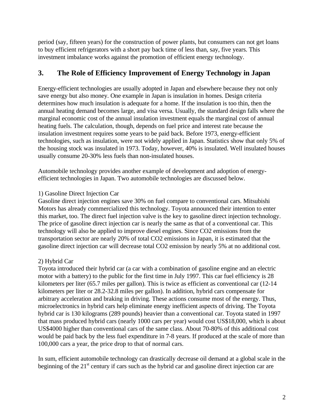period (say, fifteen years) for the construction of power plants, but consumers can not get loans to buy efficient refrigerators with a short pay back time of less than, say, five years. This investment imbalance works against the promotion of efficient energy technology.

## **3. The Role of Efficiency Improvement of Energy Technology in Japan**

Energy-efficient technologies are usually adopted in Japan and elsewhere because they not only save energy but also money. One example in Japan is insulation in homes. Design criteria determines how much insulation is adequate for a home. If the insulation is too thin, then the annual heating demand becomes large, and visa versa. Usually, the standard design falls where the marginal economic cost of the annual insulation investment equals the marginal cost of annual heating fuels. The calculation, though, depends on fuel price and interest rate because the insulation investment requires some years to be paid back. Before 1973, energy-efficient technologies, such as insulation, were not widely applied in Japan. Statistics show that only 5% of the housing stock was insulated in 1973. Today, however, 40% is insulated. Well insulated houses usually consume 20-30% less fuels than non-insulated houses.

Automobile technology provides another example of development and adoption of energyefficient technologies in Japan. Two automobile technologies are discussed below.

#### 1) Gasoline Direct Injection Car

Gasoline direct injection engines save 30% on fuel compare to conventional cars. Mitsubishi Motors has already commercialized this technology. Toyota announced their intention to enter this market, too. The direct fuel injection valve is the key to gasoline direct injection technology. The price of gasoline direct injection car is nearly the same as that of a conventional car. This technology will also be applied to improve diesel engines. Since CO2 emissions from the transportation sector are nearly 20% of total CO2 emissions in Japan, it is estimated that the gasoline direct injection car will decrease total CO2 emission by nearly 5% at no additional cost.

#### 2) Hybrid Car

Toyota introduced their hybrid car (a car with a combination of gasoline engine and an electric motor with a battery) to the public for the first time in July 1997. This car fuel efficiency is 28 kilometers per liter (65.7 miles per gallon). This is twice as efficient as conventional car (12-14 kilometers per liter or 28.2-32.8 miles per gallon). In addition, hybrid cars compensate for arbitrary acceleration and braking in driving. These actions consume most of the energy. Thus, microelectronics in hybrid cars help eliminate energy inefficient aspects of driving. The Toyota hybrid car is 130 kilograms (289 pounds) heavier than a conventional car. Toyota stated in 1997 that mass produced hybrid cars (nearly 1000 cars per year) would cost US\$18,000, which is about US\$4000 higher than conventional cars of the same class. About 70-80% of this additional cost would be paid back by the less fuel expenditure in 7-8 years. If produced at the scale of more than 100,000 cars a year, the price drop to that of normal cars.

In sum, efficient automobile technology can drastically decrease oil demand at a global scale in the beginning of the  $21<sup>st</sup>$  century if cars such as the hybrid car and gasoline direct injection car are